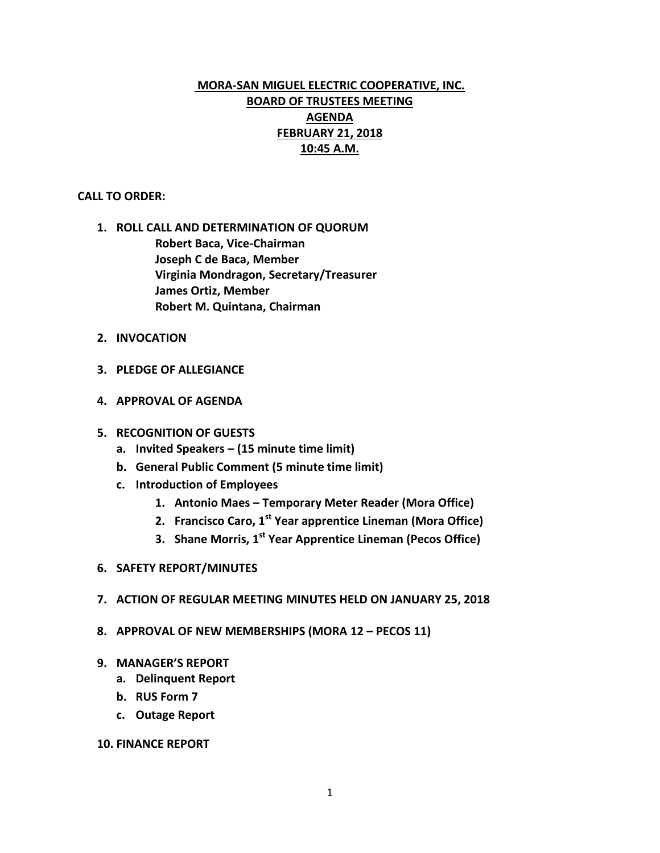# **MORA-SAN MIGUEL ELECTRIC COOPERATIVE, INC. BOARD OF TRUSTEES MEETING AGENDA FEBRUARY 21, 2018 10:45 A.M.**

### **CALL TO ORDER:**

- **1. ROLL CALL AND DETERMINATION OF QUORUM Robert Baca, Vice-Chairman Joseph C de Baca, Member Virginia Mondragon, Secretary/Treasurer James Ortiz, Member Robert M. Quintana, Chairman**
- **2. INVOCATION**
- **3. PLEDGE OF ALLEGIANCE**
- **4. APPROVAL OF AGENDA**
- **5. RECOGNITION OF GUESTS**
	- **a. Invited Speakers – (15 minute time limit)**
	- **b. General Public Comment (5 minute time limit)**
	- **c. Introduction of Employees** 
		- **1. Antonio Maes – Temporary Meter Reader (Mora Office)**
		- **2. Francisco Caro, 1st Year apprentice Lineman (Mora Office)**
		- **3. Shane Morris, 1st Year Apprentice Lineman (Pecos Office)**
- **6. SAFETY REPORT/MINUTES**
- **7. ACTION OF REGULAR MEETING MINUTES HELD ON JANUARY 25, 2018**
- **8. APPROVAL OF NEW MEMBERSHIPS (MORA 12 – PECOS 11)**
- **9. MANAGER'S REPORT**
	- **a. Delinquent Report**
	- **b. RUS Form 7**
	- **c. Outage Report**

# **10. FINANCE REPORT**